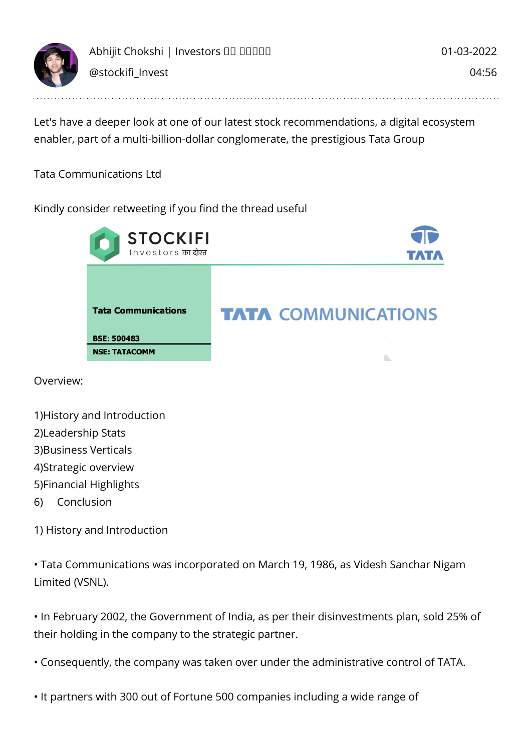

Let's have a deeper look at one of our latest stock recommendations, a digital ecosystem enabler, part of a multi-billion-dollar conglomerate, the prestigious Tata Group

Tata Communications Ltd

Kindly consider retweeting if you find the thread useful



Overview:

| 1) History and Introduction |  |
|-----------------------------|--|
|                             |  |

- 2)Leadership Stats
- 3)Business Verticals
- 4)Strategic overview
- 5)Financial Highlights
- 6) Conclusion

1) History and Introduction

• Tata Communications was incorporated on March 19, 1986, as Videsh Sanchar Nigam Limited (VSNL).

• In February 2002, the Government of India, as per their disinvestments plan, sold 25% of their holding in the company to the strategic partner.

• Consequently, the company was taken over under the administrative control of TATA.

• It partners with 300 out of Fortune 500 companies including a wide range of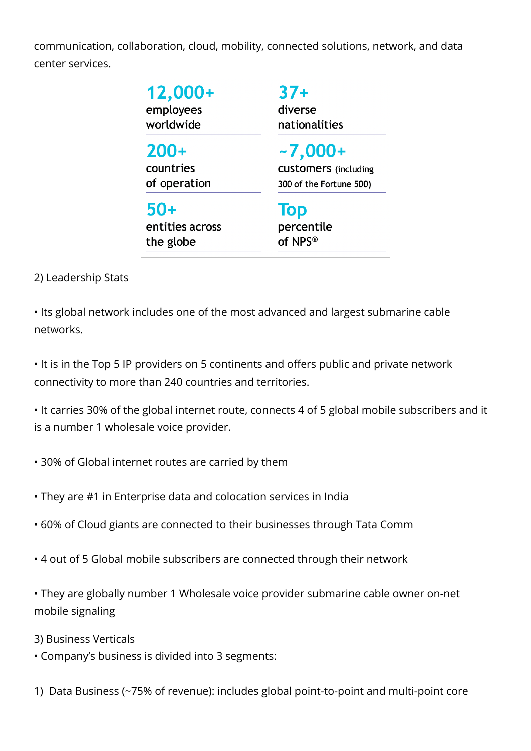communication, collaboration, cloud, mobility, connected solutions, network, and data center services.

| 12,000+<br>employees<br>worldwide | $37+$<br>diverse<br>nationalities |
|-----------------------------------|-----------------------------------|
| $200+$                            | $-7,000+$                         |
| countries                         | <b>CUStomers</b> (including       |
| of operation                      | 300 of the Fortune 500)           |
| $50+$                             | Top                               |
| entities across                   | percentile                        |
| the globe                         | of NPS <sup>®</sup>               |

2) Leadership Stats

• Its global network includes one of the most advanced and largest submarine cable networks.

• It is in the Top 5 IP providers on 5 continents and offers public and private network connectivity to more than 240 countries and territories.

• It carries 30% of the global internet route, connects 4 of 5 global mobile subscribers and it is a number 1 wholesale voice provider.

- 30% of Global internet routes are carried by them
- They are #1 in Enterprise data and colocation services in India
- 60% of Cloud giants are connected to their businesses through Tata Comm
- 4 out of 5 Global mobile subscribers are connected through their network

• They are globally number 1 Wholesale voice provider submarine cable owner on-net mobile signaling

3) Business Verticals

• Company's business is divided into 3 segments:

1) Data Business (~75% of revenue): includes global point-to-point and multi-point core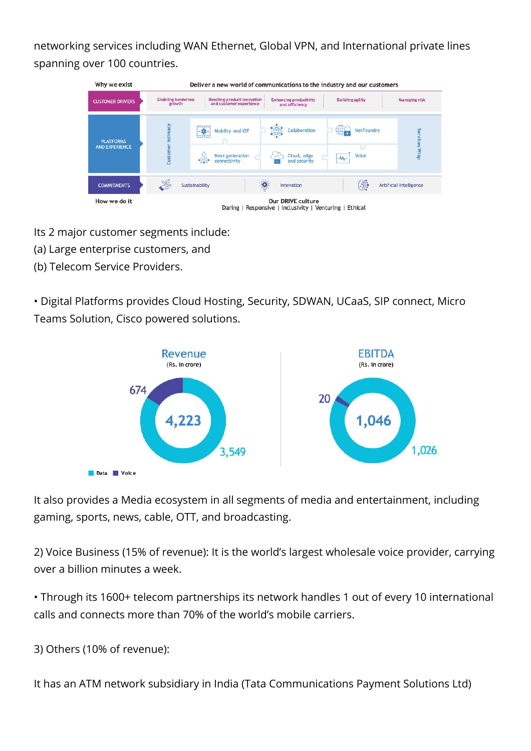networking services including WAN Ethernet, Global VPN, and International private lines spanning over 100 countries.

| <b>CUSTOMER DRIVERS</b>                   | <b>Enabling borderless</b><br>growth | <b>Boosting product innovation</b><br>and customer experience                                        | <b>Enhancing productivity</b><br>and efficiency   | <b>Building agility</b>             | <b>Managing risk</b>           |
|-------------------------------------------|--------------------------------------|------------------------------------------------------------------------------------------------------|---------------------------------------------------|-------------------------------------|--------------------------------|
| <b>PLATFORMS</b><br><b>AND EXPERIENCE</b> | intimacy<br>Custome                  | Mobility and IOT<br>$\leftarrow$ $\leftarrow$ $\leftarrow$<br><b>Next generation</b><br>connectivity | ₩<br>Collaboration<br>Cloud, edge<br>and security | <b>NetFoundry</b><br>Voice<br>$M$ . | Services Wrap                  |
| <b>COMMITMENTS</b>                        | S<br>Sustainability                  |                                                                                                      | Innovation                                        | 第                                   | <b>Artificial Intelligence</b> |

- Its 2 major customer segments include:
- (a) Large enterprise customers, and
- (b) Telecom Service Providers.

• Digital Platforms provides Cloud Hosting, Security, SDWAN, UCaaS, SIP connect, Micro Teams Solution, Cisco powered solutions.



It also provides a Media ecosystem in all segments of media and entertainment, including gaming, sports, news, cable, OTT, and broadcasting.

2) Voice Business (15% of revenue): It is the world's largest wholesale voice provider, carrying over a billion minutes a week.

• Through its 1600+ telecom partnerships its network handles 1 out of every 10 international calls and connects more than 70% of the world's mobile carriers.

3) Others (10% of revenue):

It has an ATM network subsidiary in India (Tata Communications Payment Solutions Ltd)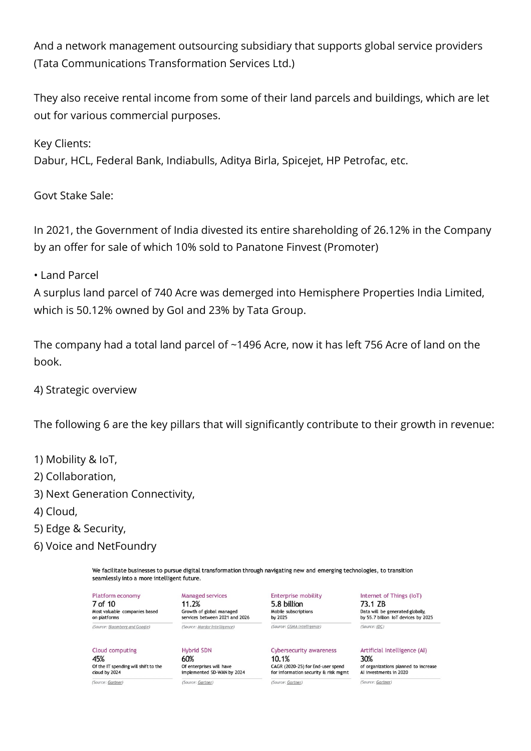And a network management outsourcing subsidiary that supports global service providers (Tata Communications Transformation Services Ltd.)

They also receive rental income from some of their land parcels and buildings, which are let out for various commercial purposes.

Key Clients:

Dabur, HCL, Federal Bank, Indiabulls, Aditya Birla, Spicejet, HP Petrofac, etc.

Govt Stake Sale:

In 2021, the Government of India divested its entire shareholding of 26.12% in the Company by an offer for sale of which 10% sold to Panatone Finvest (Promoter)

• Land Parcel

A surplus land parcel of 740 Acre was demerged into Hemisphere Properties India Limited, which is 50.12% owned by GoI and 23% by Tata Group.

The company had a total land parcel of ~1496 Acre, now it has left 756 Acre of land on the book.

## 4) Strategic overview

The following 6 are the key pillars that will significantly contribute to their growth in revenue:

- 1) Mobility & IoT,
- 2) Collaboration,
- 3) Next Generation Connectivity,
- 4) Cloud,
- 5) Edge & Security,
- 6) Voice and NetFoundry

We facilitate businesses to pursue digital transformation through navigating new and emerging technologies, to transition seamlessly into a more intelligent future.

Platform economy 7 of 10 Most valuable companies based on platforms (Source: Bloomberg and Google)

Of the IT spending will shift to the

Managed services 11.2% Growth of global managed services between 2021 and 2026 (Source: Mordor Intelligence)

**Hybrid SDN** 60% Of enterprises will have implemented SD-WAN by 2024 (Source: Gartner)

Enterprise mobility 5.8 billion Mobile subscriptions by 2025 (Source: GSMA Intelligence)

Cybersecurity awareness 10.1% CAGR (2020-25) for End-user spend for information security & risk mgmt (Source: Gartner)

Internet of Things (IoT) 73.1 ZB Data will be generated globally, by 55.7 billion IoT devices by 2025 (Source: IDC)

Artificial Intelligence (AI) 30% of organizations planned to increase Al investments in 2020 (Source: Gartner)

(Source: Gartner)

Cloud computing

45%

cloud by 2024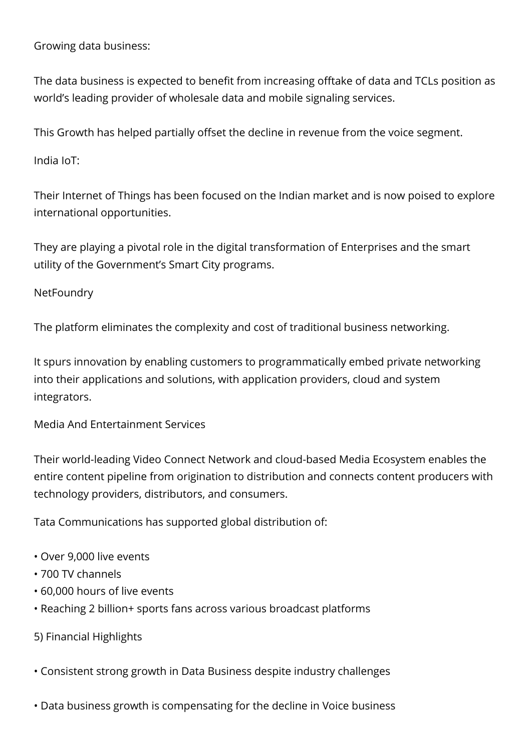Growing data business:

The data business is expected to benefit from increasing offtake of data and TCLs position as world's leading provider of wholesale data and mobile signaling services.

This Growth has helped partially offset the decline in revenue from the voice segment.

India IoT:

Their Internet of Things has been focused on the Indian market and is now poised to explore international opportunities.

They are playing a pivotal role in the digital transformation of Enterprises and the smart utility of the Government's Smart City programs.

**NetFoundry** 

The platform eliminates the complexity and cost of traditional business networking.

It spurs innovation by enabling customers to programmatically embed private networking into their applications and solutions, with application providers, cloud and system integrators.

Media And Entertainment Services

Their world-leading Video Connect Network and cloud-based Media Ecosystem enables the entire content pipeline from origination to distribution and connects content producers with technology providers, distributors, and consumers.

Tata Communications has supported global distribution of:

- Over 9,000 live events
- 700 TV channels
- 60,000 hours of live events
- Reaching 2 billion+ sports fans across various broadcast platforms
- 5) Financial Highlights
- Consistent strong growth in Data Business despite industry challenges
- Data business growth is compensating for the decline in Voice business